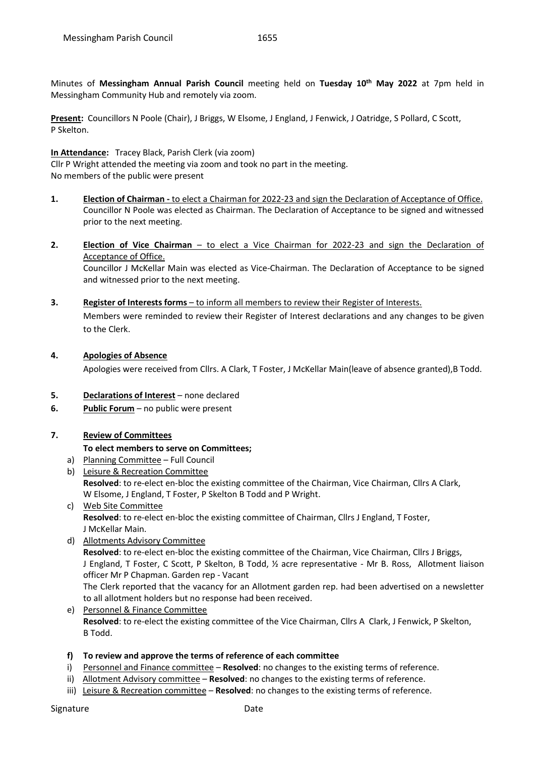Minutes of **Messingham Annual Parish Council** meeting held on **Tuesday 10th May 2022** at 7pm held in Messingham Community Hub and remotely via zoom.

**Present:** Councillors N Poole (Chair), J Briggs, W Elsome, J England, J Fenwick, J Oatridge, S Pollard, C Scott, P Skelton.

#### **In Attendance:** Tracey Black, Parish Clerk (via zoom)

Cllr P Wright attended the meeting via zoom and took no part in the meeting. No members of the public were present

- **1. Election of Chairman -** to elect a Chairman for 2022-23 and sign the Declaration of Acceptance of Office. Councillor N Poole was elected as Chairman. The Declaration of Acceptance to be signed and witnessed prior to the next meeting.
- **2. Election of Vice Chairman** to elect a Vice Chairman for 2022-23 and sign the Declaration of Acceptance of Office.

Councillor J McKellar Main was elected as Vice-Chairman. The Declaration of Acceptance to be signed and witnessed prior to the next meeting.

- **3. Register of Interests forms** to inform all members to review their Register of Interests. Members were reminded to review their Register of Interest declarations and any changes to be given to the Clerk.
- **4. Apologies of Absence**

Apologies were received from Cllrs. A Clark, T Foster, J McKellar Main(leave of absence granted),B Todd.

- **5. Declarations of Interest** none declared
- **6. Public Forum** no public were present
- **7. Review of Committees**

#### **To elect members to serve on Committees;**

- a) Planning Committee Full Council
- b) Leisure & Recreation Committee **Resolved**: to re-elect en-bloc the existing committee of the Chairman, Vice Chairman, Cllrs A Clark, W Elsome, J England, T Foster, P Skelton B Todd and P Wright.
- c) Web Site Committee **Resolved**: to re-elect en-bloc the existing committee of Chairman, Cllrs J England, T Foster, J McKellar Main.
- d) Allotments Advisory Committee **Resolved**: to re-elect en-bloc the existing committee of the Chairman, Vice Chairman, Cllrs J Briggs, J England, T Foster, C Scott, P Skelton, B Todd, ½ acre representative - Mr B. Ross, Allotment liaison officer Mr P Chapman. Garden rep - Vacant The Clerk reported that the vacancy for an Allotment garden rep. had been advertised on a newsletter to all allotment holders but no response had been received. e) Personnel & Finance Committee
- **Resolved**: to re-elect the existing committee of the Vice Chairman, Cllrs A Clark, J Fenwick, P Skelton, B Todd.

#### **f) To review and approve the terms of reference of each committee**

- i) Personnel and Finance committee **Resolved**: no changes to the existing terms of reference.
- ii) Allotment Advisory committee **Resolved**: no changes to the existing terms of reference.
- iii) Leisure & Recreation committee **Resolved**: no changes to the existing terms of reference.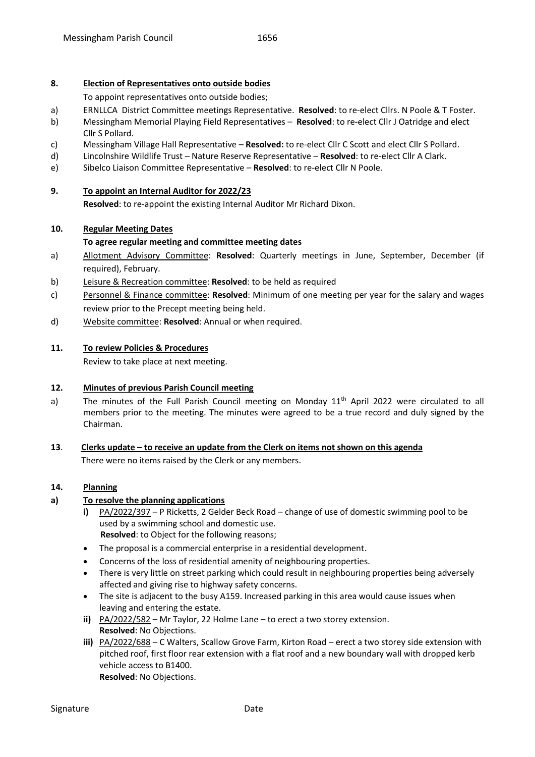#### **8. Election of Representatives onto outside bodies**

To appoint representatives onto outside bodies;

- a) ERNLLCA District Committee meetings Representative. **Resolved**: to re-elect Cllrs. N Poole & T Foster.
- b) Messingham Memorial Playing Field Representatives **Resolved**: to re-elect Cllr J Oatridge and elect Cllr S Pollard.
- c) Messingham Village Hall Representative **Resolved:** to re-elect Cllr C Scott and elect Cllr S Pollard.
- d) Lincolnshire Wildlife Trust Nature Reserve Representative **Resolved**: to re-elect Cllr A Clark.
- e) Sibelco Liaison Committee Representative **Resolved**: to re-elect Cllr N Poole.

#### **9. To appoint an Internal Auditor for 2022/23**

**Resolved**: to re-appoint the existing Internal Auditor Mr Richard Dixon.

#### **10. Regular Meeting Dates**

#### **To agree regular meeting and committee meeting dates**

- a) Allotment Advisory Committee: **Resolved**: Quarterly meetings in June, September, December (if required), February.
- b) Leisure & Recreation committee: **Resolved**: to be held as required
- c) Personnel & Finance committee: **Resolved**: Minimum of one meeting per year for the salary and wages review prior to the Precept meeting being held.
- d) Website committee: **Resolved**: Annual or when required.

#### **11. To review Policies & Procedures**

Review to take place at next meeting.

## **12. Minutes of previous Parish Council meeting**

a) The minutes of the Full Parish Council meeting on Monday 11<sup>th</sup> April 2022 were circulated to all members prior to the meeting. The minutes were agreed to be a true record and duly signed by the Chairman.

# **13**. **Clerks update – to receive an update from the Clerk on items not shown on this agenda**

There were no items raised by the Clerk or any members.

## **14. Planning**

#### **a) To resolve the planning applications**

- **i)** PA/2022/397 P Ricketts, 2 Gelder Beck Road change of use of domestic swimming pool to be used by a swimming school and domestic use.  **Resolved**: to Object for the following reasons;
- The proposal is a commercial enterprise in a residential development.
- Concerns of the loss of residential amenity of neighbouring properties.
- There is very little on street parking which could result in neighbouring properties being adversely affected and giving rise to highway safety concerns.
- The site is adjacent to the busy A159. Increased parking in this area would cause issues when leaving and entering the estate.
- **ii)** PA/2022/582 Mr Taylor, 22 Holme Lane to erect a two storey extension. **Resolved**: No Objections.
- **iii)** PA/2022/688 C Walters, Scallow Grove Farm, Kirton Road erect a two storey side extension with pitched roof, first floor rear extension with a flat roof and a new boundary wall with dropped kerb vehicle access to B1400.

**Resolved**: No Objections.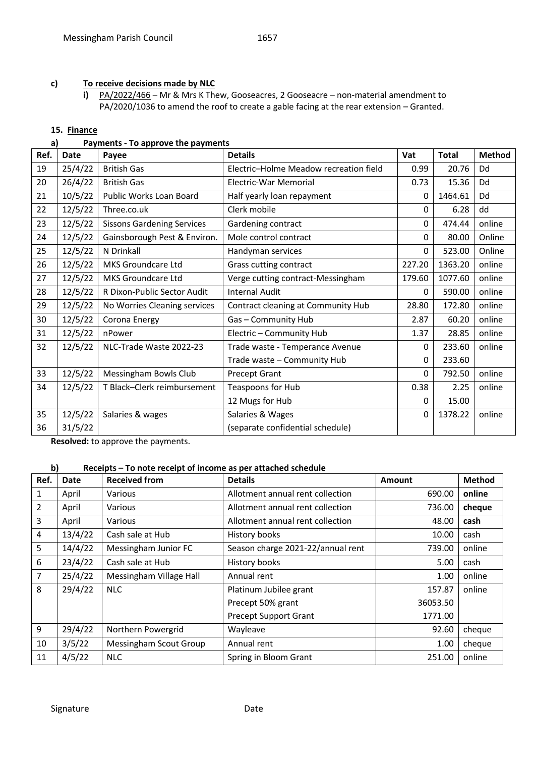# **c) To receive decisions made by NLC**

**i)** PA/2022/466 – Mr & Mrs K Thew, Gooseacres, 2 Gooseacre – non-material amendment to PA/2020/1036 to amend the roof to create a gable facing at the rear extension – Granted.

#### **15. Finance**

# **a) Payments - To approve the payments**

| Ref. | Date    | Payee                             | <b>Details</b>                         | Vat          | <b>Total</b> | <b>Method</b> |
|------|---------|-----------------------------------|----------------------------------------|--------------|--------------|---------------|
| 19   | 25/4/22 | <b>British Gas</b>                | Electric-Holme Meadow recreation field | 0.99         | 20.76        | Dd            |
| 20   | 26/4/22 | <b>British Gas</b>                | Electric-War Memorial                  | 0.73         | 15.36        | Dd            |
| 21   | 10/5/22 | Public Works Loan Board           | Half yearly loan repayment             | 0            | 1464.61      | Dd            |
| 22   | 12/5/22 | Three.co.uk                       | Clerk mobile                           | $\mathbf{0}$ | 6.28         | dd            |
| 23   | 12/5/22 | <b>Sissons Gardening Services</b> | Gardening contract                     | 0            | 474.44       | online        |
| 24   | 12/5/22 | Gainsborough Pest & Environ.      | Mole control contract                  | $\Omega$     | 80.00        | Online        |
| 25   | 12/5/22 | N Drinkall                        | Handyman services                      | 0            | 523.00       | Online        |
| 26   | 12/5/22 | MKS Groundcare Ltd                | Grass cutting contract                 | 227.20       | 1363.20      | online        |
| 27   | 12/5/22 | MKS Groundcare Ltd                | Verge cutting contract-Messingham      | 179.60       | 1077.60      | online        |
| 28   | 12/5/22 | R Dixon-Public Sector Audit       | <b>Internal Audit</b>                  | $\Omega$     | 590.00       | online        |
| 29   | 12/5/22 | No Worries Cleaning services      | Contract cleaning at Community Hub     | 28.80        | 172.80       | online        |
| 30   | 12/5/22 | Corona Energy                     | Gas - Community Hub                    | 2.87         | 60.20        | online        |
| 31   | 12/5/22 | nPower                            | Electric - Community Hub               | 1.37         | 28.85        | online        |
| 32   | 12/5/22 | NLC-Trade Waste 2022-23           | Trade waste - Temperance Avenue        | $\mathbf{0}$ | 233.60       | online        |
|      |         |                                   | Trade waste - Community Hub            | 0            | 233.60       |               |
| 33   | 12/5/22 | Messingham Bowls Club             | Precept Grant                          | $\mathbf{0}$ | 792.50       | online        |
| 34   | 12/5/22 | T Black-Clerk reimbursement       | Teaspoons for Hub                      | 0.38         | 2.25         | online        |
|      |         |                                   | 12 Mugs for Hub                        | 0            | 15.00        |               |
| 35   | 12/5/22 | Salaries & wages                  | Salaries & Wages                       | 0            | 1378.22      | online        |
| 36   | 31/5/22 |                                   | (separate confidential schedule)       |              |              |               |

**Resolved:** to approve the payments.

# **b) Receipts – To note receipt of income as per attached schedule**

| Ref. | Date    | <b>Received from</b>    | <b>Details</b>                    | Amount   | <b>Method</b> |
|------|---------|-------------------------|-----------------------------------|----------|---------------|
| 1    | April   | Various                 | Allotment annual rent collection  | 690.00   | online        |
| 2    | April   | Various                 | Allotment annual rent collection  | 736.00   | cheque        |
| 3    | April   | Various                 | Allotment annual rent collection  | 48.00    | cash          |
| 4    | 13/4/22 | Cash sale at Hub        | History books                     | 10.00    | cash          |
| 5    | 14/4/22 | Messingham Junior FC    | Season charge 2021-22/annual rent | 739.00   | online        |
| 6    | 23/4/22 | Cash sale at Hub        | History books                     | 5.00     | cash          |
| 7    | 25/4/22 | Messingham Village Hall | Annual rent                       | 1.00     | online        |
| 8    | 29/4/22 | <b>NLC</b>              | Platinum Jubilee grant            | 157.87   | online        |
|      |         |                         | Precept 50% grant                 | 36053.50 |               |
|      |         |                         | <b>Precept Support Grant</b>      | 1771.00  |               |
| 9    | 29/4/22 | Northern Powergrid      | Wayleave                          | 92.60    | cheque        |
| 10   | 3/5/22  | Messingham Scout Group  | Annual rent                       | 1.00     | cheque        |
| 11   | 4/5/22  | <b>NLC</b>              | Spring in Bloom Grant             | 251.00   | online        |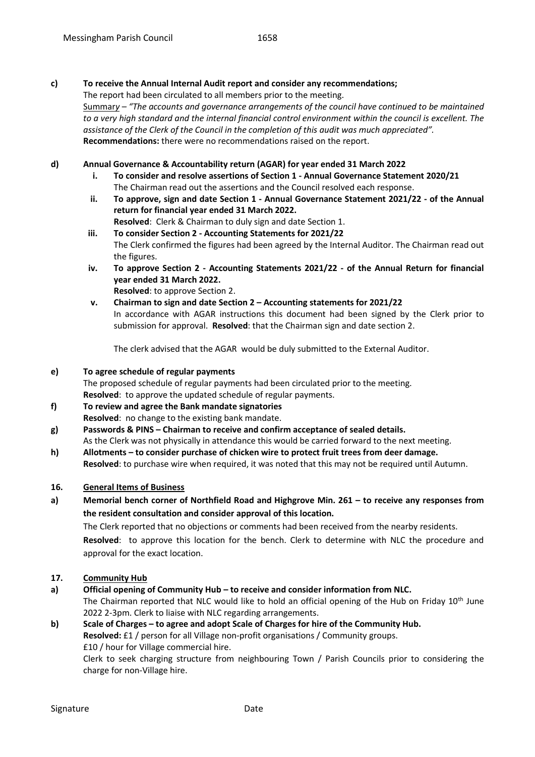#### **c) To receive the Annual Internal Audit report and consider any recommendations;**

The report had been circulated to all members prior to the meeting. Summar*y – "The accounts and governance arrangements of the council have continued to be maintained to a very high standard and the internal financial control environment within the council is excellent. The assistance of the Clerk of the Council in the completion of this audit was much appreciated".* **Recommendations:** there were no recommendations raised on the report.

#### **d) Annual Governance & Accountability return (AGAR) for year ended 31 March 2022**

- **i. To consider and resolve assertions of Section 1 - Annual Governance Statement 2020/21** The Chairman read out the assertions and the Council resolved each response.
- **ii. To approve, sign and date Section 1 - Annual Governance Statement 2021/22 - of the Annual return for financial year ended 31 March 2022. Resolved**: Clerk & Chairman to duly sign and date Section 1.
- **iii. To consider Section 2 - Accounting Statements for 2021/22** The Clerk confirmed the figures had been agreed by the Internal Auditor. The Chairman read out the figures.
- **iv. To approve Section 2 - Accounting Statements 2021/22 - of the Annual Return for financial year ended 31 March 2022. Resolved**: to approve Section 2.
- **v. Chairman to sign and date Section 2 – Accounting statements for 2021/22** In accordance with AGAR instructions this document had been signed by the Clerk prior to submission for approval. **Resolved**: that the Chairman sign and date section 2.

The clerk advised that the AGAR would be duly submitted to the External Auditor.

## **e) To agree schedule of regular payments**

The proposed schedule of regular payments had been circulated prior to the meeting. **Resolved**: to approve the updated schedule of regular payments.

- **f) To review and agree the Bank mandate signatories Resolved**: no change to the existing bank mandate.
- **g) Passwords & PINS – Chairman to receive and confirm acceptance of sealed details.**  As the Clerk was not physically in attendance this would be carried forward to the next meeting.
- **h) Allotments – to consider purchase of chicken wire to protect fruit trees from deer damage. Resolved**: to purchase wire when required, it was noted that this may not be required until Autumn.

#### **16. General Items of Business**

**a) Memorial bench corner of Northfield Road and Highgrove Min. 261 – to receive any responses from the resident consultation and consider approval of this location.** 

The Clerk reported that no objections or comments had been received from the nearby residents. **Resolved**: to approve this location for the bench. Clerk to determine with NLC the procedure and approval for the exact location.

# **17. Community Hub**

**a) Official opening of Community Hub – to receive and consider information from NLC.**  The Chairman reported that NLC would like to hold an official opening of the Hub on Friday 10<sup>th</sup> June 2022 2-3pm. Clerk to liaise with NLC regarding arrangements.

# **b) Scale of Charges – to agree and adopt Scale of Charges for hire of the Community Hub. Resolved:** £1 / person for all Village non-profit organisations / Community groups. £10 / hour for Village commercial hire.

Clerk to seek charging structure from neighbouring Town / Parish Councils prior to considering the charge for non-Village hire.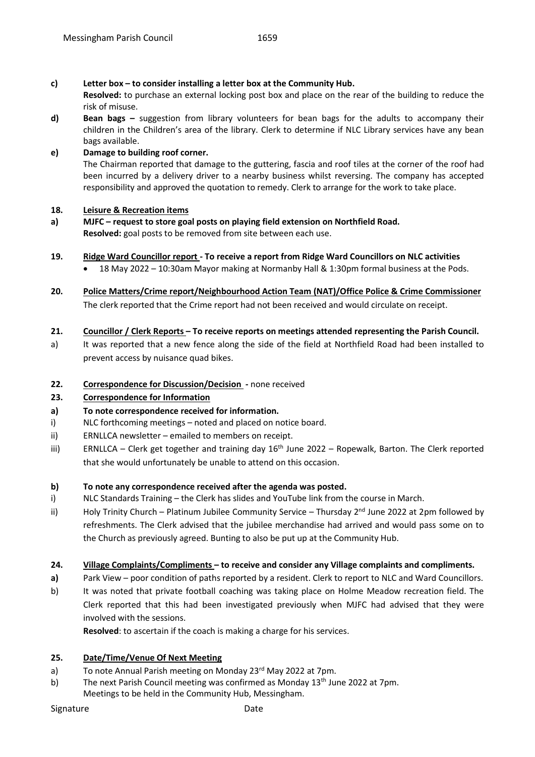#### **c) Letter box – to consider installing a letter box at the Community Hub.**

**Resolved:** to purchase an external locking post box and place on the rear of the building to reduce the risk of misuse.

**d) Bean bags –** suggestion from library volunteers for bean bags for the adults to accompany their children in the Children's area of the library. Clerk to determine if NLC Library services have any bean bags available.

#### **e) Damage to building roof corner.**

The Chairman reported that damage to the guttering, fascia and roof tiles at the corner of the roof had been incurred by a delivery driver to a nearby business whilst reversing. The company has accepted responsibility and approved the quotation to remedy. Clerk to arrange for the work to take place.

#### **18. Leisure & Recreation items**

**a) MJFC – request to store goal posts on playing field extension on Northfield Road. Resolved:** goal posts to be removed from site between each use.

#### **19. Ridge Ward Councillor report - To receive a report from Ridge Ward Councillors on NLC activities**

- 18 May 2022 10:30am Mayor making at Normanby Hall & 1:30pm formal business at the Pods.
- **20. Police Matters/Crime report/Neighbourhood Action Team (NAT)/Office Police & Crime Commissioner** The clerk reported that the Crime report had not been received and would circulate on receipt.

#### **21. Councillor / Clerk Reports – To receive reports on meetings attended representing the Parish Council.**

a) It was reported that a new fence along the side of the field at Northfield Road had been installed to prevent access by nuisance quad bikes.

#### **22. Correspondence for Discussion/Decision -** none received

#### **23. Correspondence for Information**

#### **a) To note correspondence received for information.**

- i) NLC forthcoming meetings noted and placed on notice board.
- ii) ERNLLCA newsletter emailed to members on receipt.
- iii) ERNLLCA Clerk get together and training day  $16<sup>th</sup>$  June 2022 Ropewalk, Barton. The Clerk reported that she would unfortunately be unable to attend on this occasion.

#### **b) To note any correspondence received after the agenda was posted.**

- i) NLC Standards Training the Clerk has slides and YouTube link from the course in March.
- ii) Holy Trinity Church Platinum Jubilee Community Service Thursday  $2^{nd}$  June 2022 at 2pm followed by refreshments. The Clerk advised that the jubilee merchandise had arrived and would pass some on to the Church as previously agreed. Bunting to also be put up at the Community Hub.

#### **24. Village Complaints/Compliments – to receive and consider any Village complaints and compliments.**

- **a)** Park View poor condition of paths reported by a resident. Clerk to report to NLC and Ward Councillors.
- b) It was noted that private football coaching was taking place on Holme Meadow recreation field. The Clerk reported that this had been investigated previously when MJFC had advised that they were involved with the sessions.

**Resolved**: to ascertain if the coach is making a charge for his services.

#### **25. Date/Time/Venue Of Next Meeting**

- a) To note Annual Parish meeting on Monday 23<sup>rd</sup> May 2022 at 7pm.
- b) The next Parish Council meeting was confirmed as Monday  $13<sup>th</sup>$  June 2022 at 7pm. Meetings to be held in the Community Hub, Messingham.